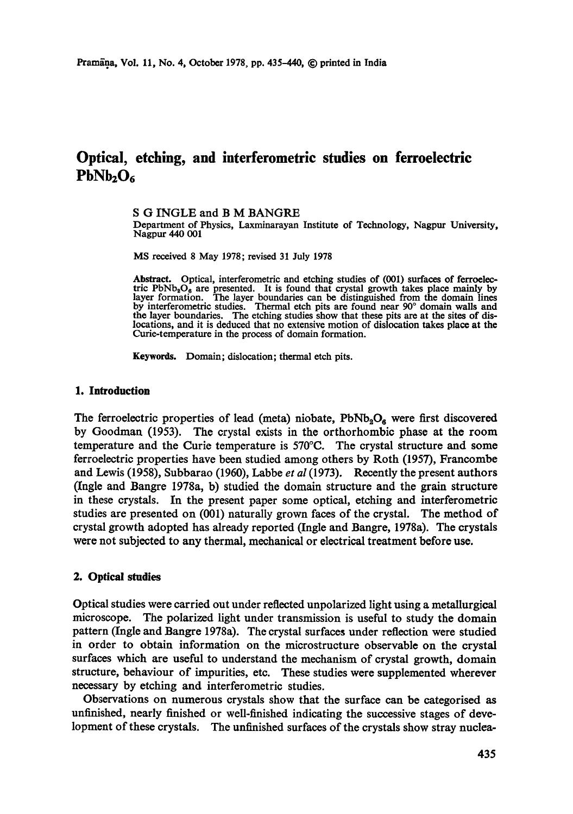# **Optical, etching, and interferometric studies on ferroelectric**   $PbNb<sub>2</sub>O<sub>6</sub>$

## S G INGLE and B M BANGRE

Department of Physics, Laxminarayan Institute of Technology, Nagpur University, Nagpur 440 001

MS received 8 May 1978; revised 31 July 1978

Abstract. Optical, interferometric and etching studies of (001) surfaces of ferroelectric  $PbNb<sub>2</sub>O<sub>6</sub>$  are presented. It is found that crystal growth takes place mainly by layer formation. The layer boundaries can be distinguished from the domain lines by interferometric studies. Thermal etch pits are found near 90° domain walls and the layer boundaries. The etching studies show that these pits are at the sites of dislocations, and it is deduced that no extensive motion of dislocation takes place at the Curie-temperature in the process of domain formation.

Keywords. Domain; dislocation; thermal etch pits.

## **1. Introduction**

The ferroelectric properties of lead (meta) niobate,  $PbNb<sub>2</sub>O<sub>6</sub>$  were first discovered by Goodman (1953). The erystai exists in the orthorhombie phase at the room temperature and the Curie temperature is 570°C. The crystal structure and some ferroeleetric properties have been studied among others by Roth (1957), Franeombe and Lewis (1958), Subbarao (1960), Labbe *et al* (1973). Recently the present authors (Ingle and Bangre 1978a, b) studied the domain structure and the grain structure in these crystals. In the present paper some optical, etching and interferometric studies are presented on (001) naturally grown faces of the crystal. The method of crystal growth adopted has already reported (Ingle and Bangre, 1978a). The crystals were not subjected to any thermal, meehanicai or electrical treatment before use.

# **2. Optical studies**

Optical studies were carried out under reflected unpolarized light using a metallurgical microscope. The polarized light under transmission is useful to study the domain pattern (Ingle and Bangre 1978a). The crystal surfaces under reflection were studied in order to obtain information on the microstructure observable on the crystal surfaces which are useful to understand the mechanism of crystal growth, domain structure, behaviour of impurities, etc. These studies were supplemented wherever necessary by etching and interferometric studies.

Observations on numerous crystals show that the surface can be eategorised as unfinished, nearly finished or well-finished indicating the successive stages of development of these crystals. The unfinished surfaces of the crystals show stray nuclea-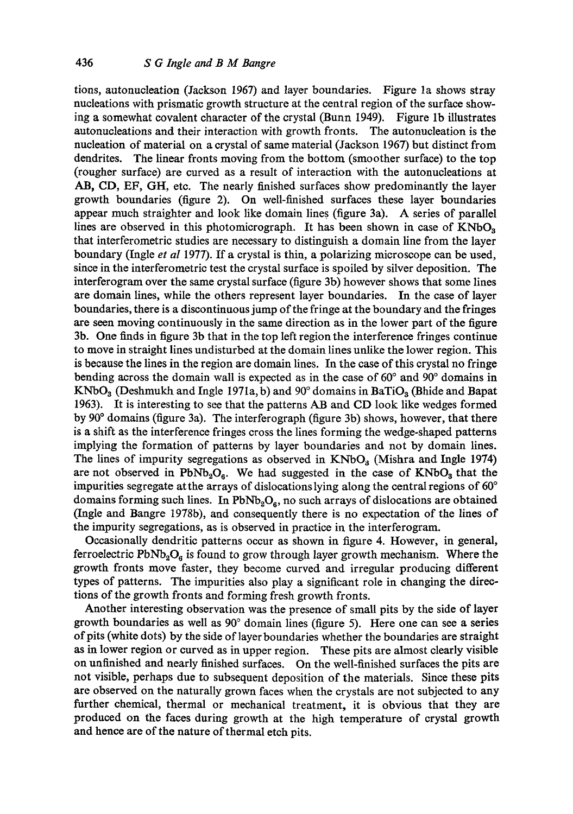tions, autonucleation (lackson 1967) and layer boundaries. Figure la shows stray nucleations with prismatic growth structure at the central region of the surface showing a somewhat covalent character of the crystal (Bunn 1949). Figure lb illustrates autonucleations and their interaction with growth fronts. The autonucleation is the nucleation of material on a crystal of same material (Jackson 1967) but distinct from dendrites. The linear fronts moving from the bottom (smoother surface) to the top (rougher surface) are curved as a result of interaction with the autonueleations at AB, CD, EF, GH, etc. The nearly finished surfaces show predominantly the layer growth boundaries (figure 2). On weU-finished surfaces these layer boundaries appear much straighter and look like domain lines (figure 3a). A series of parallel lines are observed in this photomicrograph. It has been shown in case of  $KNbO<sub>3</sub>$ that interferometric studies are necessary to distinguish a domain line from the layer boundary (Ingle *et al* 1977). If a crystal is thin, a polarizing microscope can be used, since in the interferometrie test the crystal surface is spoiled by silver deposition. The interferogram over the same crystal surface (figure 3b) however shows that some lines are domain lines, while the others represent layer boundaries. In the case of layer boundaries, there is a discontinuous jump of the fringe at the boundary and the fringes are seen moving continuously in the same direction as in the lower part of the figure 3b. One finds in figure 3b that in the top left region the interference fringes continue to move in straight lines undisturbed at the domain lines unlike the lower region. This is because the lines in the region are domain lines. In the case of this crystal no fringe bending across the domain wall is expected as in the case of  $60^{\circ}$  and  $90^{\circ}$  domains in KNbO<sub>3</sub> (Deshmukh and Ingle 1971a, b) and 90 $^{\circ}$  domains in BaTiO<sub>3</sub> (Bhide and Bapat 1963). It is interesting to see that the patterns AB and CD look like wedges formed by 90° domains (figure 3a). The interferograph (figure 3b) shows, however, that there is a shift as the interference fringes cross the lines forming the wedge-shaped patterns implying the formation of patterns by layer boundaries and not by domain lines. The lines of impurity segregations as observed in  $KNbO<sub>3</sub>$  (Mishra and Ingle 1974) are not observed in PbNb<sub>2</sub>O<sub>6</sub>. We had suggested in the case of  $KNbO<sub>3</sub>$  that the impurities segregate at the arrays of dislocationslying along the central regions of 60° domains forming such lines. In  $PbNb<sub>2</sub>O<sub>6</sub>$ , no such arrays of dislocations are obtained (Ingle and Bangre 1978b), and consequently there is no expectation of the lines of the impurity segregations, as is observed in practice in the interferogram.

Occasionally dendritic patterns occur as shown in figure 4. However, in general, ferroelectric PbNb<sub>2</sub>O<sub>6</sub> is found to grow through layer growth mechanism. Where the growth fronts move faster, they become curved and irregular producing different types of patterns. The impurities also play a significant role in changing the directions of the growth fronts and forming fresh growth fronts.

Another interesting observation was the presence of small pits by the side of layer growth boundaries as well as  $90^\circ$  domain lines (figure 5). Here one can see a series of pits (white dots) by the side of layer boundaries whether the boundaries are straight as in lower region or curved as in upper region. These pits are almost clearly visible on unfinished and nearly finished surfaces. On the well-finished surfaces the pits are not visible, perhaps due to subsequent deposition of the materials. Since these pits are observed on the naturally grown faces when the crystals are not subjected to any further chemical, thermal or mechanical treatment, it is obvious that they are produced on the faces during growth at the high temperature of crystal growth and hence are of the nature of thermal etch pits.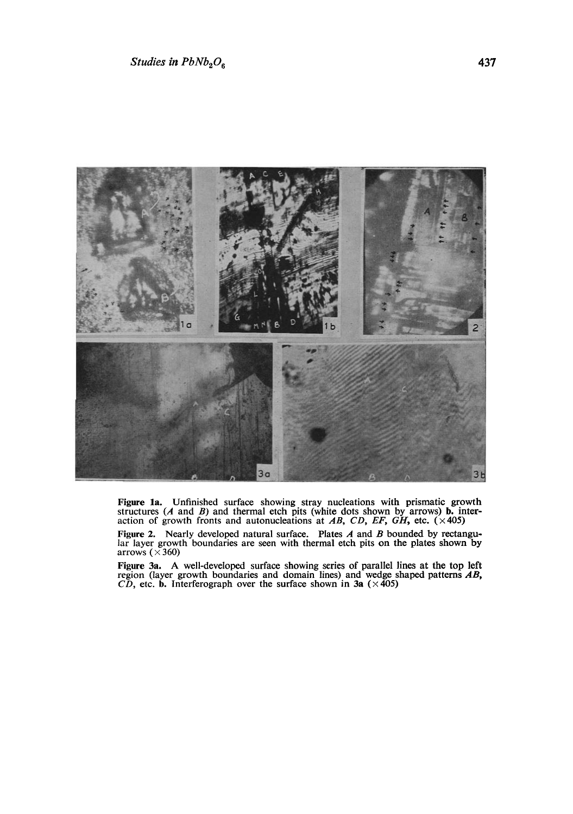

Figure 1a. Unfinished surface showing stray nucleations with prismatic growth structures (A and B) and thermal etch pits (white dots shown by arrows) **b.** interaction of growth fronts and autonucleations at AB, CD, EF, GH

Figure 2. Nearly developed natural surface. Plates A and B bounded by rectangu-<br>lar layer growth boundaries are seen with thermal etch pits on the plates shown by arrows ( $\times 360$ )

**Figure 3a. A** well-developed surface showing series of parallel lines at the top left region (layer growth boundaries and domain lines) and wedge shaped patterns *AB,*   $\overline{CD}$ , etc. **b.** Interferograph over the surface shown in 3a ( $\times$ 405)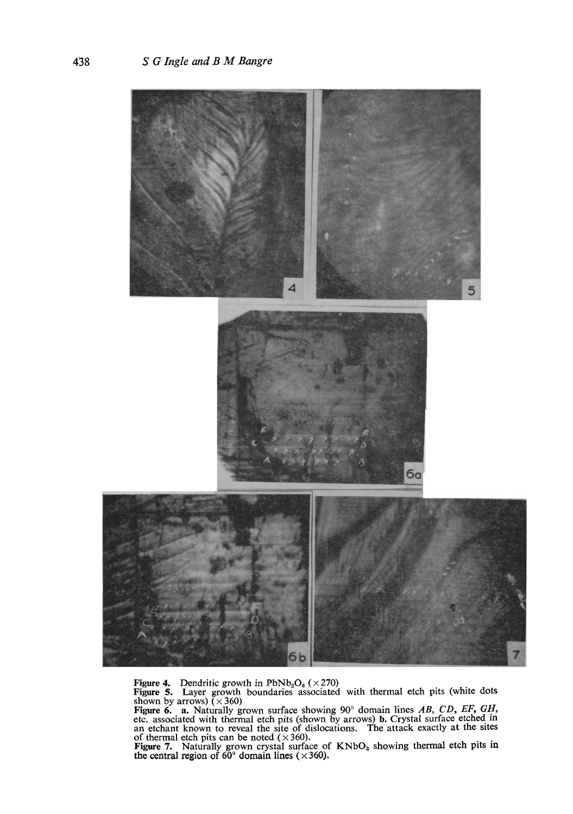

Figure 4. Dendritic growth in  $PbNb_2O_6$  ( $\times 270$ )<br>Figure 5. Layer growth boundaries associated with thermal etch pits (white dots<br>shown by arrows) ( $\times 360$ )<br>Figure 6. a. Naturally grown surface showing 90° domain lines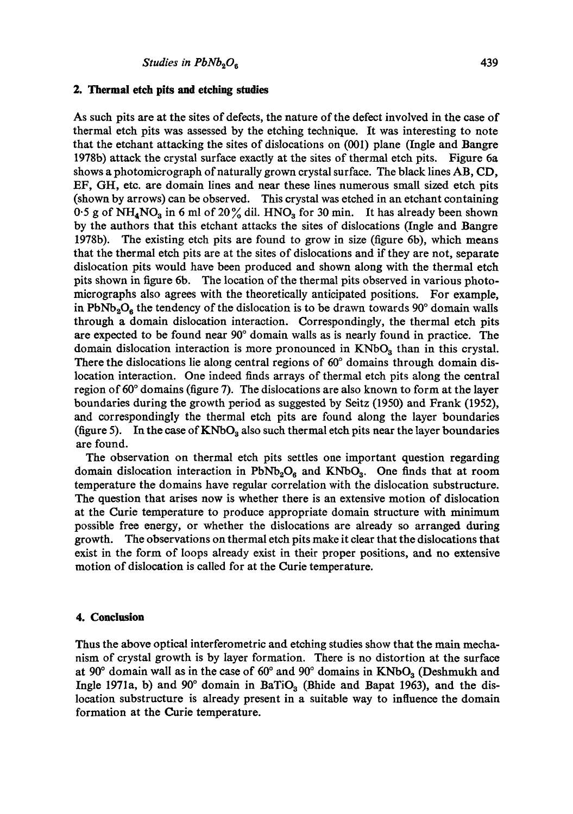# **2. Thermal etch pits and etching studies**

As such pits are at the sites of defects, the nature of the defect involved in the ease of thermal etch pits was assessed by the etching technique. It was interesting to note that the etchant attacking the sites of dislocations on (001) plane (Ingle and Bangre 1978b) attack the crystal surface exactly at the sites of thermal etch pits. Figure 6a shows a photomicrograph of naturally grown crystal surface. The black lines AB, CD, EF, GH, etc. are domain lines and near these lines numerous small sized etch pits (shown by arrows) can be observed. This crystal was etched in an etchant containing 0.5 g of  $NH_4NO_3$  in 6 ml of 20% dil. HNO<sub>3</sub> for 30 min. It has already been shown by the authors that this etchant attacks the sites of dislocations (Ingle and Bangre 1978b). The existing etch pits are found to grow in size (figure 6b), which means that the thermal etch pits are at the sites of dislocations and if they are not, separate dislocation pits would have been produced and shown along with the thermal etch pits shown in figure 6b. The location of the thermal pits observed in various photomicrographs also agrees with the theoretically anticipated positions. For example, in PbNb<sub>2</sub>O<sub>6</sub> the tendency of the dislocation is to be drawn towards 90 $^{\circ}$  domain walls through a domain dislocation interaction. Correspondingly, the thermal etch pits are expected to be found near 90 ° domain walls as is nearly found in practice. The domain dislocation interaction is more pronounced in  $KNbO<sub>3</sub>$  than in this crystal. There the dislocations lie along central regions of  $60^{\circ}$  domains through domain dislocation interaction. One indeed finds arrays of thermal etch pits along the central region of  $60^\circ$  domains (figure 7). The dislocations are also known to form at the layer boundaries during the growth period as suggested by Seitz (1950) and Frank (I952), and correspondingly the thermal etch pits are found along the layer boundaries (figure 5). In the case of  $KNbO_3$  also such thermal etch pits near the layer boundaries are found.

The observation on thermal etch pits settles one important question regarding domain dislocation interaction in  $PbNb<sub>2</sub>O<sub>6</sub>$  and  $KNbO<sub>3</sub>$ . One finds that at room temperature the domains have regular correlation with the dislocation substructure. The question that arises now is whether there is an extensive motion of dislocation at the Curie temperature to produce appropriate domain structure with minimum possible free energy, or whether the dislocations are already so arranged during growth. The observations on thermal etch pits make it clear that the dislocations that exist in the form of loops already exist in their proper positions, and no extensive motion of dislocation is called for at the Curie temperature.

## **4. Conclusion**

Thus the above optical interferometric and etching studies show that the main mechanism of crystal growth is by layer formation. There is no distortion at the surface at 90 $\degree$  domain wall as in the case of 60 $\degree$  and 90 $\degree$  domains in KNbO<sub>3</sub> (Deshmukh and Ingle 1971a, b) and 90 $^{\circ}$  domain in BaTiO<sub>3</sub> (Bhide and Bapat 1963), and the dislocation substructure is already present in a suitable way to influence the domain formation at the Curie temperature.